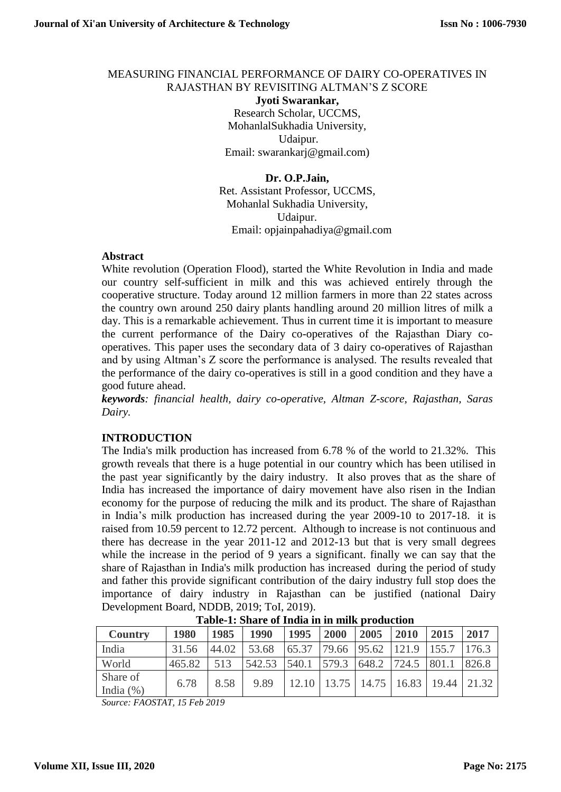## MEASURING FINANCIAL PERFORMANCE OF DAIRY CO-OPERATIVES IN RAJASTHAN BY REVISITING ALTMAN'S Z SCORE

**Jyoti Swarankar,**  Research Scholar, UCCMS, MohanlalSukhadia University, Udaipur. Email: swarankarj@gmail.com)

**Dr. O.P.Jain,** 

Ret. Assistant Professor, UCCMS, Mohanlal Sukhadia University, Udaipur. Email: opjainpahadiya@gmail.com

#### **Abstract**

White revolution (Operation Flood), started the White Revolution in India and made our country self-sufficient in milk and this was achieved entirely through the cooperative structure. Today around 12 million farmers in more than 22 states across the country own around 250 dairy plants handling around 20 million litres of milk a day. This is a remarkable achievement. Thus in current time it is important to measure the current performance of the Dairy co-operatives of the Rajasthan Diary cooperatives. This paper uses the secondary data of 3 dairy co-operatives of Rajasthan and by using Altman's Z score the performance is analysed. The results revealed that the performance of the dairy co-operatives is still in a good condition and they have a good future ahead.

*keywords: financial health, dairy co-operative, Altman Z-score, Rajasthan, Saras Dairy.*

#### **INTRODUCTION**

The India's milk production has increased from 6.78 % of the world to 21.32%. This growth reveals that there is a huge potential in our country which has been utilised in the past year significantly by the dairy industry. It also proves that as the share of India has increased the importance of dairy movement have also risen in the Indian economy for the purpose of reducing the milk and its product. The share of Rajasthan in India's milk production has increased during the year 2009-10 to 2017-18. it is raised from 10.59 percent to 12.72 percent. Although to increase is not continuous and there has decrease in the year 2011-12 and 2012-13 but that is very small degrees while the increase in the period of 9 years a significant. finally we can say that the share of Rajasthan in India's milk production has increased during the period of study and father this provide significant contribution of the dairy industry full stop does the importance of dairy industry in Rajasthan can be justified (national Dairy Development Board, NDDB, 2019; ToI, 2019).

| Table-T. Dhare of filma in in him broudenon |        |       |                          |                                                                       |      |      |                   |                                       |       |
|---------------------------------------------|--------|-------|--------------------------|-----------------------------------------------------------------------|------|------|-------------------|---------------------------------------|-------|
| <b>Country</b>                              | 1980   | 1985  | 1990                     | 1995                                                                  | 2000 | 2005 | 2010              | 2015                                  | 2017  |
| India                                       | 31.56  | 44.02 | 53.68                    | $\begin{bmatrix} 65.37 & 79.66 & 95.62 & 121.9 & 155.7 \end{bmatrix}$ |      |      |                   |                                       | 176.3 |
| World                                       | 465.82 | 513   | $542.53$ $540.1$ $579.3$ |                                                                       |      |      | 648.2 724.5 801.1 |                                       | 826.8 |
| Share of<br>India $(\%)$                    | 6.78   | 8.58  | 9.89                     |                                                                       |      |      |                   | 12.10   13.75   14.75   16.83   19.44 | 21.32 |

**Table-1: Share of India in in milk production**

*Source: FAOSTAT, 15 Feb 2019*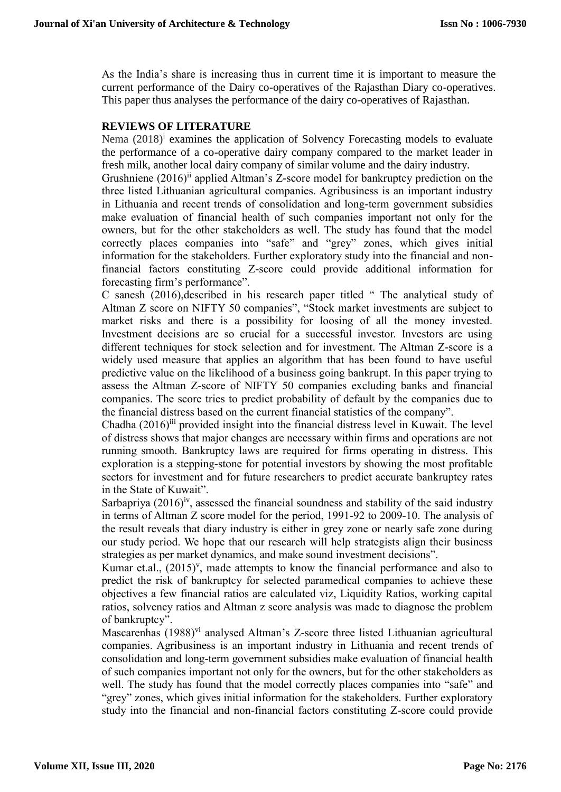As the India's share is increasing thus in current time it is important to measure the current performance of the Dairy co-operatives of the Rajasthan Diary co-operatives. This paper thus analyses the performance of the dairy co-operatives of Rajasthan.

### **REVIEWS OF LITERATURE**

Nema  $(2018)^i$  examines the application of Solvency Forecasting models to evaluate the performance of a co-operative dairy company compared to the market leader in fresh milk, another local dairy company of similar volume and the dairy industry.

Grushniene (2016)<sup>ii</sup> applied Altman's Z-score model for bankruptcy prediction on the three listed Lithuanian agricultural companies. Agribusiness is an important industry in Lithuania and recent trends of consolidation and long-term government subsidies make evaluation of financial health of such companies important not only for the owners, but for the other stakeholders as well. The study has found that the model correctly places companies into "safe" and "grey" zones, which gives initial information for the stakeholders. Further exploratory study into the financial and nonfinancial factors constituting Z-score could provide additional information for forecasting firm's performance".

C sanesh (2016),described in his research paper titled " The analytical study of Altman Z score on NIFTY 50 companies", "Stock market investments are subject to market risks and there is a possibility for loosing of all the money invested. Investment decisions are so crucial for a successful investor. Investors are using different techniques for stock selection and for investment. The Altman Z-score is a widely used measure that applies an algorithm that has been found to have useful predictive value on the likelihood of a business going bankrupt. In this paper trying to assess the Altman Z-score of NIFTY 50 companies excluding banks and financial companies. The score tries to predict probability of default by the companies due to the financial distress based on the current financial statistics of the company".

Chadha (2016)<sup>iii</sup> provided insight into the financial distress level in Kuwait. The level of distress shows that major changes are necessary within firms and operations are not running smooth. Bankruptcy laws are required for firms operating in distress. This exploration is a stepping-stone for potential investors by showing the most profitable sectors for investment and for future researchers to predict accurate bankruptcy rates in the State of Kuwait".

Sarbapriya  $(2016)^{iv}$ , assessed the financial soundness and stability of the said industry in terms of Altman Z score model for the period, 1991-92 to 2009-10. The analysis of the result reveals that diary industry is either in grey zone or nearly safe zone during our study period. We hope that our research will help strategists align their business strategies as per market dynamics, and make sound investment decisions".

Kumar et.al.,  $(2015)^v$ , made attempts to know the financial performance and also to predict the risk of bankruptcy for selected paramedical companies to achieve these objectives a few financial ratios are calculated viz, Liquidity Ratios, working capital ratios, solvency ratios and Altman z score analysis was made to diagnose the problem of bankruptcy".

Mascarenhas (1988)<sup>vi</sup> analysed Altman's Z-score three listed Lithuanian agricultural companies. Agribusiness is an important industry in Lithuania and recent trends of consolidation and long-term government subsidies make evaluation of financial health of such companies important not only for the owners, but for the other stakeholders as well. The study has found that the model correctly places companies into "safe" and "grey" zones, which gives initial information for the stakeholders. Further exploratory study into the financial and non-financial factors constituting Z-score could provide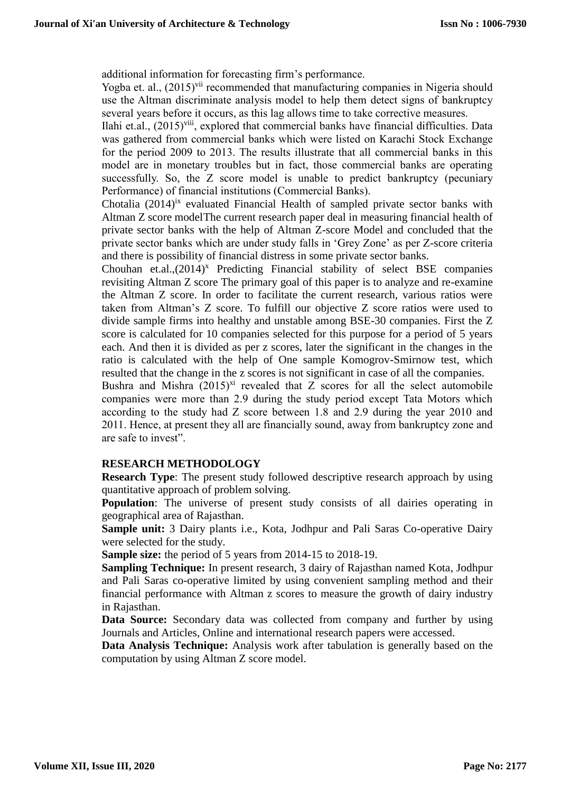additional information for forecasting firm's performance.

Yogba et. al., (2015)<sup>vii</sup> recommended that manufacturing companies in Nigeria should use the Altman discriminate analysis model to help them detect signs of bankruptcy several years before it occurs, as this lag allows time to take corrective measures.

Ilahi et.al., (2015)<sup>viii</sup>, explored that commercial banks have financial difficulties. Data was gathered from commercial banks which were listed on Karachi Stock Exchange for the period 2009 to 2013. The results illustrate that all commercial banks in this model are in monetary troubles but in fact, those commercial banks are operating successfully. So, the Z score model is unable to predict bankruptcy (pecuniary Performance) of financial institutions (Commercial Banks).

Chotalia  $(2014)^{ix}$  evaluated Financial Health of sampled private sector banks with Altman Z score modelThe current research paper deal in measuring financial health of private sector banks with the help of Altman Z-score Model and concluded that the private sector banks which are under study falls in 'Grey Zone' as per Z-score criteria and there is possibility of financial distress in some private sector banks.

Chouhan et.al., $(2014)^x$  Predicting Financial stability of select BSE companies revisiting Altman Z score The primary goal of this paper is to analyze and re-examine the Altman Z score. In order to facilitate the current research, various ratios were taken from Altman's Z score. To fulfill our objective Z score ratios were used to divide sample firms into healthy and unstable among BSE-30 companies. First the Z score is calculated for 10 companies selected for this purpose for a period of 5 years each. And then it is divided as per z scores, later the significant in the changes in the ratio is calculated with the help of One sample Komogrov-Smirnow test, which resulted that the change in the z scores is not significant in case of all the companies.

Bushra and Mishra  $(2015)^{xi}$  revealed that Z scores for all the select automobile companies were more than 2.9 during the study period except Tata Motors which according to the study had Z score between 1.8 and 2.9 during the year 2010 and 2011. Hence, at present they all are financially sound, away from bankruptcy zone and are safe to invest".

#### **RESEARCH METHODOLOGY**

**Research Type:** The present study followed descriptive research approach by using quantitative approach of problem solving.

**Population:** The universe of present study consists of all dairies operating in geographical area of Rajasthan.

**Sample unit:** 3 Dairy plants i.e., Kota, Jodhpur and Pali Saras Co-operative Dairy were selected for the study.

**Sample size:** the period of 5 years from 2014-15 to 2018-19.

**Sampling Technique:** In present research, 3 dairy of Rajasthan named Kota, Jodhpur and Pali Saras co-operative limited by using convenient sampling method and their financial performance with Altman z scores to measure the growth of dairy industry in Rajasthan.

**Data Source:** Secondary data was collected from company and further by using Journals and Articles, Online and international research papers were accessed.

**Data Analysis Technique:** Analysis work after tabulation is generally based on the computation by using Altman Z score model.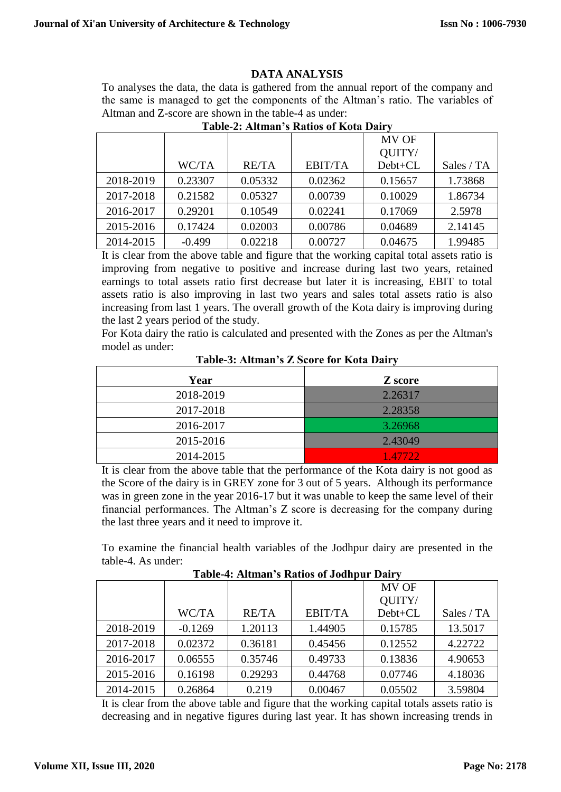#### **DATA ANALYSIS**

To analyses the data, the data is gathered from the annual report of the company and the same is managed to get the components of the Altman's ratio. The variables of Altman and Z-score are shown in the table-4 as under:

|           |          |              |                | MV OF   |            |
|-----------|----------|--------------|----------------|---------|------------|
|           |          |              |                | QUITY/  |            |
|           | WC/TA    | <b>RE/TA</b> | <b>EBIT/TA</b> | Debt+CL | Sales / TA |
| 2018-2019 | 0.23307  | 0.05332      | 0.02362        | 0.15657 | 1.73868    |
| 2017-2018 | 0.21582  | 0.05327      | 0.00739        | 0.10029 | 1.86734    |
| 2016-2017 | 0.29201  | 0.10549      | 0.02241        | 0.17069 | 2.5978     |
| 2015-2016 | 0.17424  | 0.02003      | 0.00786        | 0.04689 | 2.14145    |
| 2014-2015 | $-0.499$ | 0.02218      | 0.00727        | 0.04675 | 1.99485    |

# **Table-2: Altman's Ratios of Kota Dairy**

It is clear from the above table and figure that the working capital total assets ratio is improving from negative to positive and increase during last two years, retained earnings to total assets ratio first decrease but later it is increasing, EBIT to total assets ratio is also improving in last two years and sales total assets ratio is also increasing from last 1 years. The overall growth of the Kota dairy is improving during the last 2 years period of the study.

For Kota dairy the ratio is calculated and presented with the Zones as per the Altman's model as under:

| Year      | Z score  |
|-----------|----------|
| 2018-2019 | 2.26317  |
| 2017-2018 | 2.28358  |
| 2016-2017 | 3.26968  |
| 2015-2016 | 2.43049  |
| 2014-2015 | 1.47722. |

**Table-3: Altman's Z Score for Kota Dairy**

It is clear from the above table that the performance of the Kota dairy is not good as the Score of the dairy is in GREY zone for 3 out of 5 years. Although its performance was in green zone in the year 2016-17 but it was unable to keep the same level of their financial performances. The Altman's Z score is decreasing for the company during the last three years and it need to improve it.

To examine the financial health variables of the Jodhpur dairy are presented in the table-4. As under:

**Table-4: Altman's Ratios of Jodhpur Dairy**

|           |           |              |                | <b>MV OF</b> |            |
|-----------|-----------|--------------|----------------|--------------|------------|
|           |           |              |                | QUITY/       |            |
|           | WC/TA     | <b>RE/TA</b> | <b>EBIT/TA</b> | Debt+CL      | Sales / TA |
| 2018-2019 | $-0.1269$ | 1.20113      | 1.44905        | 0.15785      | 13.5017    |
| 2017-2018 | 0.02372   | 0.36181      | 0.45456        | 0.12552      | 4.22722    |
| 2016-2017 | 0.06555   | 0.35746      | 0.49733        | 0.13836      | 4.90653    |
| 2015-2016 | 0.16198   | 0.29293      | 0.44768        | 0.07746      | 4.18036    |
| 2014-2015 | 0.26864   | 0.219        | 0.00467        | 0.05502      | 3.59804    |

It is clear from the above table and figure that the working capital totals assets ratio is decreasing and in negative figures during last year. It has shown increasing trends in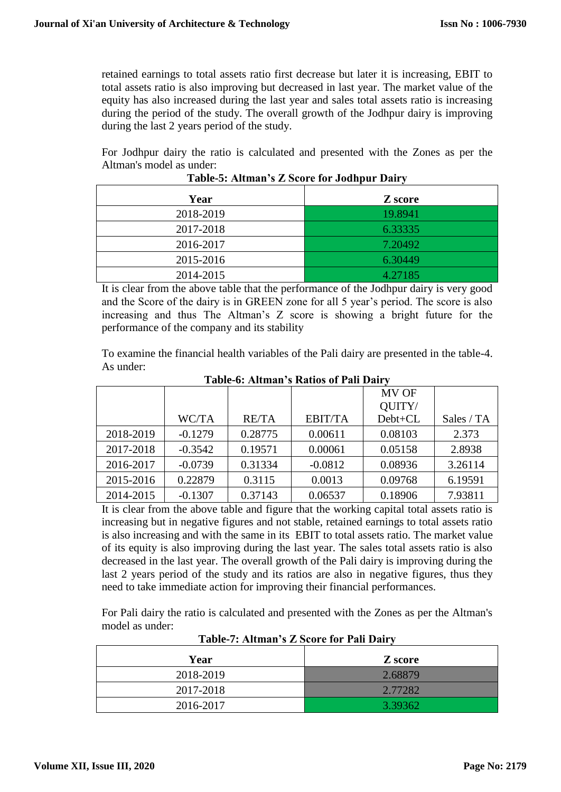retained earnings to total assets ratio first decrease but later it is increasing, EBIT to total assets ratio is also improving but decreased in last year. The market value of the equity has also increased during the last year and sales total assets ratio is increasing during the period of the study. The overall growth of the Jodhpur dairy is improving during the last 2 years period of the study.

For Jodhpur dairy the ratio is calculated and presented with the Zones as per the Altman's model as under:

| Year      | Z score |
|-----------|---------|
| 2018-2019 | 19.8941 |
| 2017-2018 | 6.33335 |
| 2016-2017 | 7.20492 |
| 2015-2016 | 6.30449 |
| 2014-2015 | 4.27185 |

**Table-5: Altman's Z Score for Jodhpur Dairy**

It is clear from the above table that the performance of the Jodhpur dairy is very good and the Score of the dairy is in GREEN zone for all 5 year's period. The score is also increasing and thus The Altman's Z score is showing a bright future for the performance of the company and its stability

To examine the financial health variables of the Pali dairy are presented in the table-4. As under:

|           |           |              |                | <b>MV OF</b> |            |
|-----------|-----------|--------------|----------------|--------------|------------|
|           |           |              |                | QUITY/       |            |
|           | WC/TA     | <b>RE/TA</b> | <b>EBIT/TA</b> | Debt+CL      | Sales / TA |
| 2018-2019 | $-0.1279$ | 0.28775      | 0.00611        | 0.08103      | 2.373      |
| 2017-2018 | $-0.3542$ | 0.19571      | 0.00061        | 0.05158      | 2.8938     |
| 2016-2017 | $-0.0739$ | 0.31334      | $-0.0812$      | 0.08936      | 3.26114    |
| 2015-2016 | 0.22879   | 0.3115       | 0.0013         | 0.09768      | 6.19591    |
| 2014-2015 | $-0.1307$ | 0.37143      | 0.06537        | 0.18906      | 7.93811    |

**Table-6: Altman's Ratios of Pali Dairy**

It is clear from the above table and figure that the working capital total assets ratio is increasing but in negative figures and not stable, retained earnings to total assets ratio is also increasing and with the same in its EBIT to total assets ratio. The market value of its equity is also improving during the last year. The sales total assets ratio is also decreased in the last year. The overall growth of the Pali dairy is improving during the last 2 years period of the study and its ratios are also in negative figures, thus they need to take immediate action for improving their financial performances.

For Pali dairy the ratio is calculated and presented with the Zones as per the Altman's model as under:

| Year      | Z score |
|-----------|---------|
| 2018-2019 | 2.68879 |
| 2017-2018 | 2.77282 |
| 2016-2017 | 3.39362 |

**Table-7: Altman's Z Score for Pali Dairy**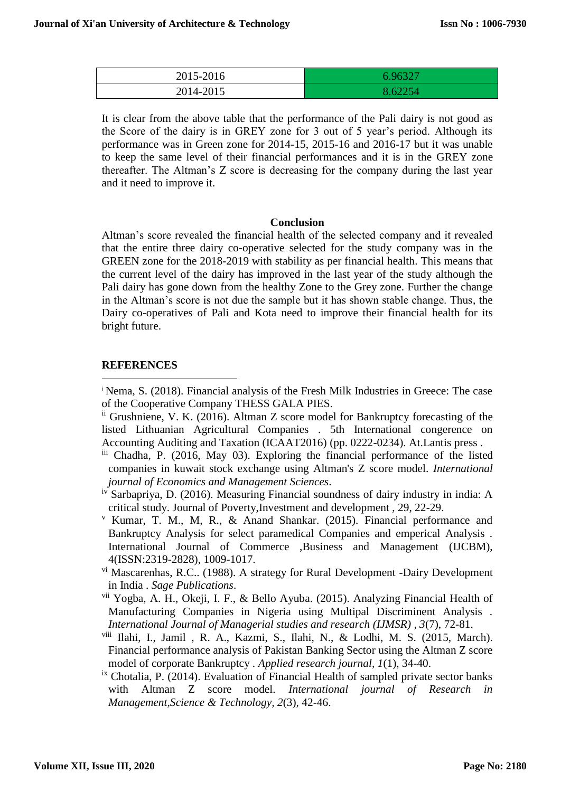| 2015-2016 | 6 96327 |
|-----------|---------|
| 2014-2015 |         |

It is clear from the above table that the performance of the Pali dairy is not good as the Score of the dairy is in GREY zone for 3 out of 5 year's period. Although its performance was in Green zone for 2014-15, 2015-16 and 2016-17 but it was unable to keep the same level of their financial performances and it is in the GREY zone thereafter. The Altman's Z score is decreasing for the company during the last year and it need to improve it.

#### **Conclusion**

Altman's score revealed the financial health of the selected company and it revealed that the entire three dairy co-operative selected for the study company was in the GREEN zone for the 2018-2019 with stability as per financial health. This means that the current level of the dairy has improved in the last year of the study although the Pali dairy has gone down from the healthy Zone to the Grey zone. Further the change in the Altman's score is not due the sample but it has shown stable change. Thus, the Dairy co-operatives of Pali and Kota need to improve their financial health for its bright future.

## **REFERENCES**

-

<sup>i</sup> Nema, S. (2018). Financial analysis of the Fresh Milk Industries in Greece: The case of the Cooperative Company THESS GALA PIES.

- ii Grushniene, V. K. (2016). Altman Z score model for Bankruptcy forecasting of the listed Lithuanian Agricultural Companies . 5th International congerence on Accounting Auditing and Taxation (ICAAT2016) (pp. 0222-0234). At.Lantis press .
- iii Chadha, P. (2016, May 03). Exploring the financial performance of the listed companies in kuwait stock exchange using Altman's Z score model. *International journal of Economics and Management Sciences*.
- iv Sarbapriya, D. (2016). Measuring Financial soundness of dairy industry in india: A critical study. Journal of Poverty,Investment and development , 29, 22-29.
- <sup>v</sup> Kumar, T. M., M, R., & Anand Shankar. (2015). Financial performance and Bankruptcy Analysis for select paramedical Companies and emperical Analysis . International Journal of Commerce ,Business and Management (IJCBM), 4(ISSN:2319-2828), 1009-1017.
- vi Mascarenhas, R.C.. (1988). A strategy for Rural Development -Dairy Development in India . *Sage Publications*.
- vii Yogba, A. H., Okeji, I. F., & Bello Ayuba. (2015). Analyzing Financial Health of Manufacturing Companies in Nigeria using Multipal Discriminent Analysis . *International Journal of Managerial studies and research (IJMSR) , 3*(7), 72-81.
- viii Ilahi, I., Jamil , R. A., Kazmi, S., Ilahi, N., & Lodhi, M. S. (2015, March). Financial performance analysis of Pakistan Banking Sector using the Altman Z score model of corporate Bankruptcy . *Applied research journal, 1*(1), 34-40.
- ix Chotalia, P. (2014). Evaluation of Financial Health of sampled private sector banks with Altman Z score model. *International journal of Research in Management,Science & Technology, 2*(3), 42-46.